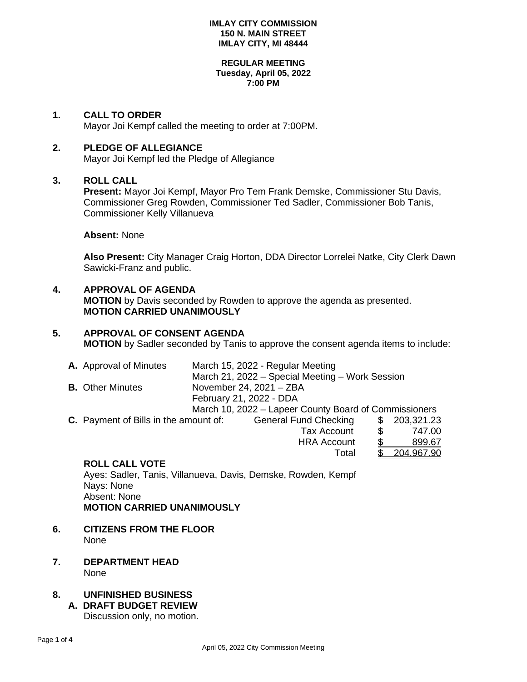#### **REGULAR MEETING Tuesday, April 05, 2022 7:00 PM**

### **1. CALL TO ORDER**

Mayor Joi Kempf called the meeting to order at 7:00PM.

### **2. PLEDGE OF ALLEGIANCE**

Mayor Joi Kempf led the Pledge of Allegiance

## **3. ROLL CALL**

**Present:** Mayor Joi Kempf, Mayor Pro Tem Frank Demske, Commissioner Stu Davis, Commissioner Greg Rowden, Commissioner Ted Sadler, Commissioner Bob Tanis, Commissioner Kelly Villanueva

**Absent:** None

**Also Present:** City Manager Craig Horton, DDA Director Lorrelei Natke, City Clerk Dawn Sawicki-Franz and public.

# **4. APPROVAL OF AGENDA MOTION** by Davis seconded by Rowden to approve the agenda as presented. **MOTION CARRIED UNANIMOUSLY**

# **5. APPROVAL OF CONSENT AGENDA MOTION** by Sadler seconded by Tanis to approve the consent agenda items to include:

|                                                    | A. Approval of Minutes                       | March 15, 2022 - Regular Meeting |                                                       |     |              |  |  |
|----------------------------------------------------|----------------------------------------------|----------------------------------|-------------------------------------------------------|-----|--------------|--|--|
|                                                    |                                              |                                  | March 21, 2022 - Special Meeting - Work Session       |     |              |  |  |
| <b>B.</b> Other Minutes<br>November 24, 2021 - ZBA |                                              |                                  |                                                       |     |              |  |  |
|                                                    |                                              | February 21, 2022 - DDA          |                                                       |     |              |  |  |
|                                                    |                                              |                                  | March 10, 2022 – Lapeer County Board of Commissioners |     |              |  |  |
|                                                    | <b>C.</b> Payment of Bills in the amount of: |                                  | <b>General Fund Checking</b>                          |     | \$203,321.23 |  |  |
|                                                    |                                              |                                  | <b>Tax Account</b>                                    | \$. | 747.00       |  |  |

HRA Account \$ 899.67

Total \$ 204,967.90

| <b>ROLL CALL VOTE</b> |  |  |  |
|-----------------------|--|--|--|

Ayes: Sadler, Tanis, Villanueva, Davis, Demske, Rowden, Kempf Nays: None Absent: None **MOTION CARRIED UNANIMOUSLY**

- **6. CITIZENS FROM THE FLOOR** None
- **7. DEPARTMENT HEAD** None

# **8. UNFINISHED BUSINESS**

**A. DRAFT BUDGET REVIEW** Discussion only, no motion.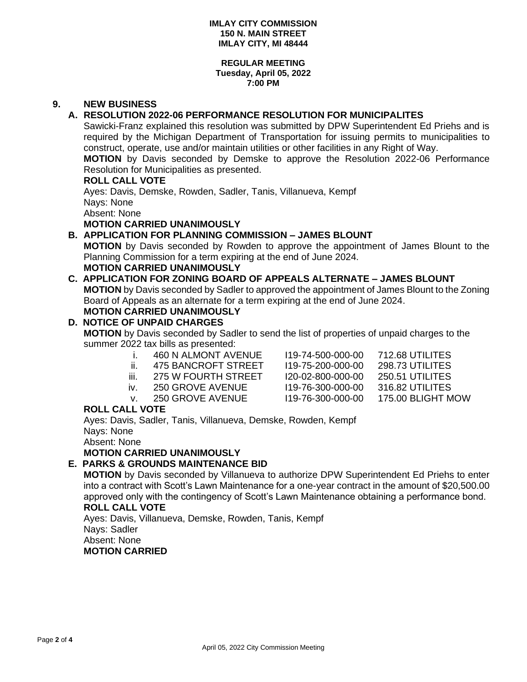#### **REGULAR MEETING Tuesday, April 05, 2022 7:00 PM**

# **9. NEW BUSINESS**

# **A. RESOLUTION 2022-06 PERFORMANCE RESOLUTION FOR MUNICIPALITES**

Sawicki-Franz explained this resolution was submitted by DPW Superintendent Ed Priehs and is required by the Michigan Department of Transportation for issuing permits to municipalities to construct, operate, use and/or maintain utilities or other facilities in any Right of Way.

**MOTION** by Davis seconded by Demske to approve the Resolution 2022-06 Performance Resolution for Municipalities as presented.

#### **ROLL CALL VOTE**

Ayes: Davis, Demske, Rowden, Sadler, Tanis, Villanueva, Kempf Nays: None Absent: None

**MOTION CARRIED UNANIMOUSLY**

# **B. APPLICATION FOR PLANNING COMMISSION – JAMES BLOUNT**

**MOTION** by Davis seconded by Rowden to approve the appointment of James Blount to the Planning Commission for a term expiring at the end of June 2024.

# **MOTION CARRIED UNANIMOUSLY**

# **C. APPLICATION FOR ZONING BOARD OF APPEALS ALTERNATE – JAMES BLOUNT**

**MOTION** by Davis seconded by Sadler to approved the appointment of James Blount to the Zoning Board of Appeals as an alternate for a term expiring at the end of June 2024.

#### **MOTION CARRIED UNANIMOUSLY D. NOTICE OF UNPAID CHARGES MOTION** by Davis seconded by Sadler to send the list of properties of unpaid charges to the summer 2022 tax bills as presented: i. 460 N ALMONT AVENUE I19-74-500-000-00 712.68 UTILITES

- 
- 
- 

ii. 475 BANCROFT STREET I19-75-200-000-00 298.73 UTILITES iii. 275 W FOURTH STREET I20-02-800-000-00 250.51 UTILITES iv. 250 GROVE AVENUE I19-76-300-000-00 316.82 UTILITES v. 250 GROVE AVENUE I19-76-300-000-00 175.00 BLIGHT MOW

### **ROLL CALL VOTE**

Ayes: Davis, Sadler, Tanis, Villanueva, Demske, Rowden, Kempf Nays: None

Absent: None

**MOTION CARRIED UNANIMOUSLY**

# **E. PARKS & GROUNDS MAINTENANCE BID**

**MOTION** by Davis seconded by Villanueva to authorize DPW Superintendent Ed Priehs to enter into a contract with Scott's Lawn Maintenance for a one-year contract in the amount of \$20,500.00 approved only with the contingency of Scott's Lawn Maintenance obtaining a performance bond. **ROLL CALL VOTE**

Ayes: Davis, Villanueva, Demske, Rowden, Tanis, Kempf Nays: Sadler Absent: None

### **MOTION CARRIED**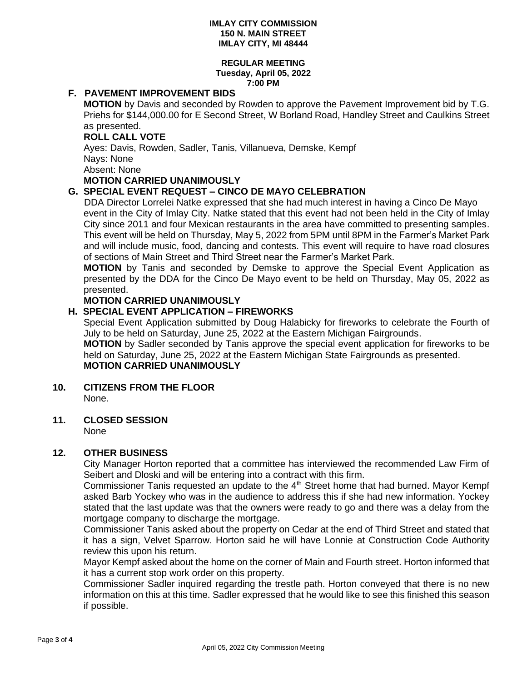#### **REGULAR MEETING Tuesday, April 05, 2022 7:00 PM**

### **F. PAVEMENT IMPROVEMENT BIDS**

**MOTION** by Davis and seconded by Rowden to approve the Pavement Improvement bid by T.G. Priehs for \$144,000.00 for E Second Street, W Borland Road, Handley Street and Caulkins Street as presented.

### **ROLL CALL VOTE**

Ayes: Davis, Rowden, Sadler, Tanis, Villanueva, Demske, Kempf

Nays: None

Absent: None

# **MOTION CARRIED UNANIMOUSLY**

# **G. SPECIAL EVENT REQUEST – CINCO DE MAYO CELEBRATION**

DDA Director Lorrelei Natke expressed that she had much interest in having a Cinco De Mayo event in the City of Imlay City. Natke stated that this event had not been held in the City of Imlay City since 2011 and four Mexican restaurants in the area have committed to presenting samples. This event will be held on Thursday, May 5, 2022 from 5PM until 8PM in the Farmer's Market Park and will include music, food, dancing and contests. This event will require to have road closures of sections of Main Street and Third Street near the Farmer's Market Park.

**MOTION** by Tanis and seconded by Demske to approve the Special Event Application as presented by the DDA for the Cinco De Mayo event to be held on Thursday, May 05, 2022 as presented.

## **MOTION CARRIED UNANIMOUSLY**

## **H. SPECIAL EVENT APPLICATION – FIREWORKS**

Special Event Application submitted by Doug Halabicky for fireworks to celebrate the Fourth of July to be held on Saturday, June 25, 2022 at the Eastern Michigan Fairgrounds.

**MOTION** by Sadler seconded by Tanis approve the special event application for fireworks to be held on Saturday, June 25, 2022 at the Eastern Michigan State Fairgrounds as presented.

# **MOTION CARRIED UNANIMOUSLY**

#### **10. CITIZENS FROM THE FLOOR** None.

### **11. CLOSED SESSION**

None

### **12. OTHER BUSINESS**

City Manager Horton reported that a committee has interviewed the recommended Law Firm of Seibert and Dloski and will be entering into a contract with this firm.

Commissioner Tanis requested an update to the  $4<sup>th</sup>$  Street home that had burned. Mayor Kempf asked Barb Yockey who was in the audience to address this if she had new information. Yockey stated that the last update was that the owners were ready to go and there was a delay from the mortgage company to discharge the mortgage.

Commissioner Tanis asked about the property on Cedar at the end of Third Street and stated that it has a sign, Velvet Sparrow. Horton said he will have Lonnie at Construction Code Authority review this upon his return.

Mayor Kempf asked about the home on the corner of Main and Fourth street. Horton informed that it has a current stop work order on this property.

Commissioner Sadler inquired regarding the trestle path. Horton conveyed that there is no new information on this at this time. Sadler expressed that he would like to see this finished this season if possible.